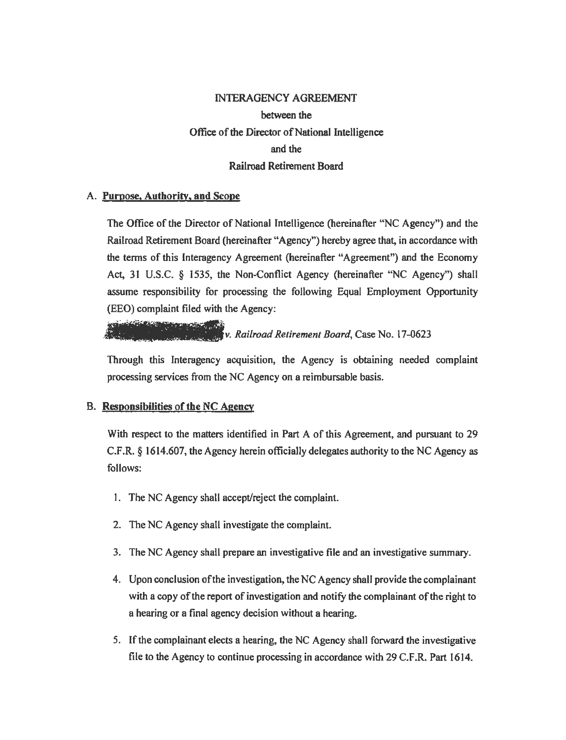# INTERAGENCY AGREEMENT between the Office of the Director of National Intelligence and the Railroad Retirement Board

## **A. Purpose, Authority, and Scope**

The Office of the Director of National Intelligence (hereinafter "NC Agency") and the Railroad Retirement Board (hereinafter "Agency") hereby agree that, in accordance with the terms of this lnteragency Agreement (hereinafter "Agreement") and the Economy Act, 31 U.S.C. § 1535, the Non-Conflict Agency (hereinafter "NC Agency") shall assume responsibility for processing the following Equal Employment Opportunity (EEO) complaint filed with the Agency:

فأوجب والمتعاقب والمتوافق والمتعاقب المراكبة والمستعير v. *Railroad Retirement Board,* Case No. 17-0623

Through this lnteragency acquisition, the Agency is obtaining needed complaint processing services from the NC Agency on a reimbursable basis.

## B. **Responsibilities of the NC Agency**

With respect to the matters identified in Part A of this Agreement, and pursuant to 29 C.F.R. § 1614.607, the Agency herein officially delegates authority to the NC Agency as follows:

- 1. The NC Agency shall accept/reject the complaint.
- 2. The NC Agency shall investigate the complaint.
- 3. The NC Agency shall prepare an investigative file and an investigative summary.
- 4. Upon conclusion ofthe investigation, the NC Agency shall provide the complainant with a copy of the report of investigation and notify the complainant of the right to a hearing or a final agency decision without a hearing.
- 5. Ifthe complainant elects a hearing, the NC Agency shall forward the investigative file to the Agency to continue processing in accordance with 29 C.F .R. Part 1614.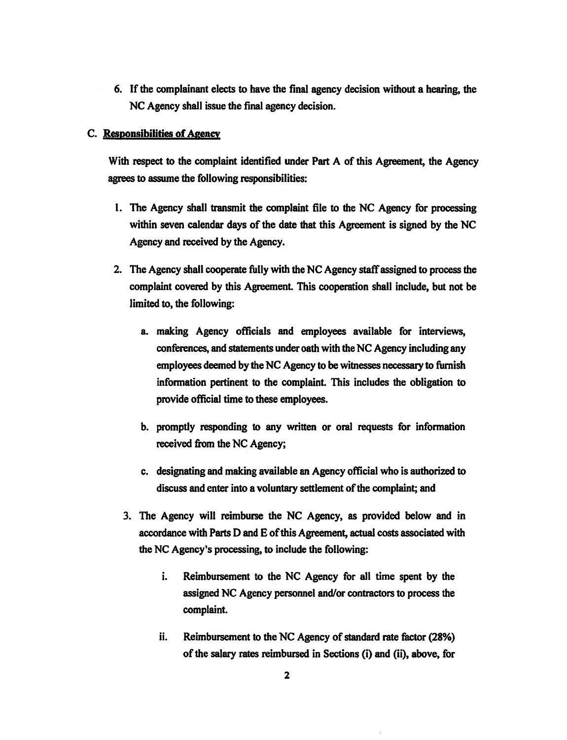6. If the complainant elects to have the final agency decision without a hearing, the NC Agency shall issue the final agency decision.

#### **C.** Responsibilities of Agency

With respect to the complaint identified under Part A of this Agreement, the Agency agrees to assume the following responsibilities:

- I. The Agency shall transmit the complaint file to the NC Agency for processing within seven calendar days of the date that this Agreement is signed by the NC Agency and received by the Agency.
- 2. The Agency shall cooperate fully with the NC Agency staffassigned to process the complaint covered by this Agreement. This cooperation shall include, but not be limited to, the following:
	- a. making Agency officials and employees available for interviews, conferences, and statements under oath with the NC Agency including any employees deemed by the NC Agency to be witnesses necessary to furnish infonnation pertinent to the complaint. This includes the obligation to provide official time to these employees.
	- b. promptly responding to any written or oral requests for information received from the NC Agency;
	- c. designating and making available an Agency official who is authorized to discuss and enter into a voluntary settlement of the complaint; and
	- 3. The Agency will reimburse the NC Agency, as provided below and in accordance with Parts D and E ofthis Agreement, actual costs associated with the NC Agency's processing, to include the following:
		- i. Reimbursement to the NC Agency for all time spent by the assigned NC Agency personnel and/or contractors to process the complaint.
		- ii. Reimbursement to the NC Agency of standard rate factor (28%) ofthe salary rates **reimbursed** in Sections (i) and (ii), **above,** for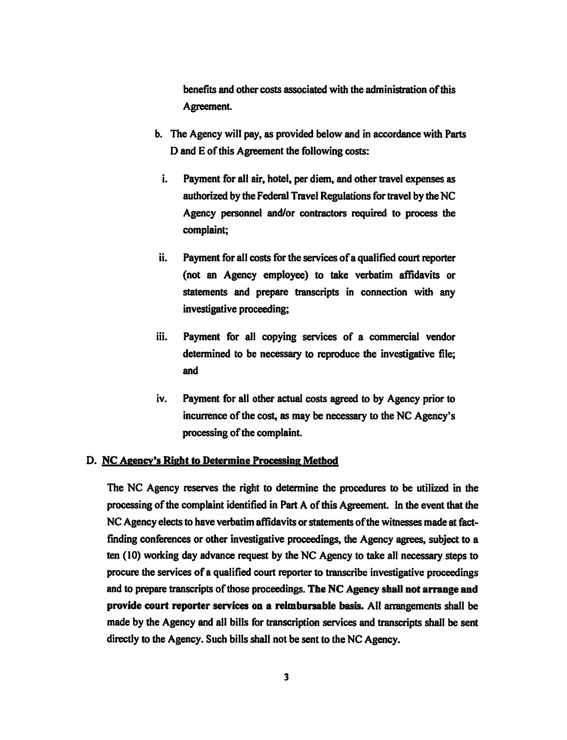benefits and other costs associated with the administration of this Agreement.

- b. The Agency will pay, as provided below and in accordance with Parts D and E of this Agreement the following costs:
- i. Payment for all air, hotel, per diem, and other travel expenses as authorized by the Federal Travel Regulations for travel by the NC Agency personnel and/or contractors required to process the complaint;
- ii. Payment for all costs for the services of a qualified court reporter (not an Agency employee) to take verbatim affidavits or statements and prepare transcripts in connection with any investigative proceeding;
- iii. Payment for all copying services of a commercial vendor determined to be necessary to reproduce the investigative file; and
- iv. Payment for all other actual costs agreed to by Agency prior to incurrence of the cost, as may be necessary to the NC Agency's processing of the complaint.

### D. **NC Agency's Right to Determine Processing Method**

The NC Agency reserves the right to detennine the procedures to be utilized in the processing of the complaint identified in Part A of this Agreement. In the event that the NC Agency elects to have verbatim affidavits or statements of the witnesses made at factfinding conferences or other investigative proceedings, the Agency agrees, subject to a ten (10) working day advance request by the NC Agency to take all necessary steps to procure the services ofa qualified court reporter to transcribe investigative proceedings and to prepare transcripts of those proceedings. The NC Agency shall not arrange and **provide court reporter services on a reimbursable basis.** All arrangements shall be made by the Agency and all bills for transcription services and transcripts shall be sent directly to the Agency. Such bills shall not be sent to the NC Agency.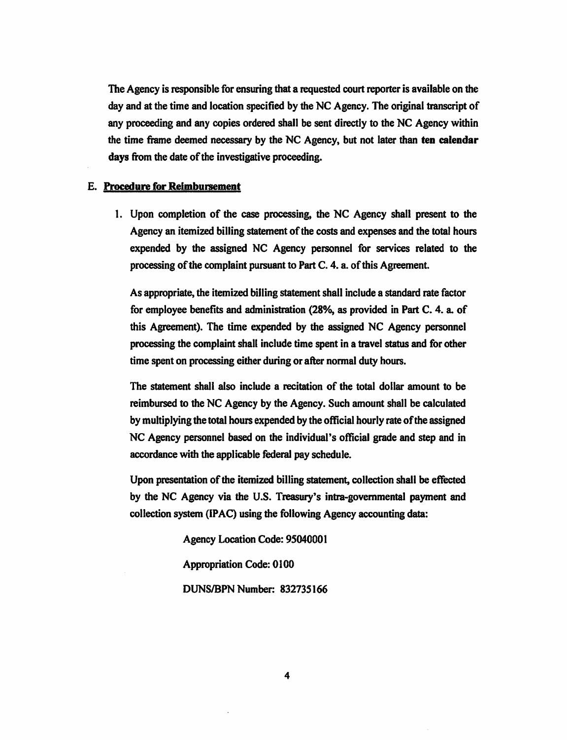The Agency is responsible for ensuring that a requested court reporter is available on the day and at the time and location specified by the NC Agency. The original transcript of any proceeding and any copies ordered shall be sent directly to the NC Agency within the time frame deemed necessary by the NC Agency, but not later than **ten calendar**  days from the date of the investigative proceeding.

#### E. **Procedure for Reimbursement**

1. Upon completion of the case processing, the NC Agency shall present to the Agency an itemized billing statement of the costs and expenses and the total hours expended by the assigned NC Agency personnel for services related to the processing of the complaint pursuant to Part C. 4. a. of this Agreement.

As appropriate, the itemized billing statement shall include a standard rate factor for employee benefits and administration (28%, as provided in Part C. 4. a. of this Agreement). The time expended by the assigned NC Agency personnel processing the complaint shall include time spent in a travel status and for other time spent on processing either during or after normal duty hours.

The statement shall also include a recitation of the total dollar amount to be reimbursed to the NC Agency by the Agency. Such amount shall be calculated by multiplying the total hours expended by the official hourly rate ofthe assigned NC Agency personnel based on the individual's official grade and step and in accordance with the applicable federal pay schedule.

Upon presentation of the itemized billing statement, collection shall be effected by the NC Agency via the U.S. Treasury's intra-governmental payment and collection system **(IPAC)** using the following Agency accounting data:

Agency Location Code: 95040001

Appropriation Code: 0 I 00

DUNS/BPN Number: 832735166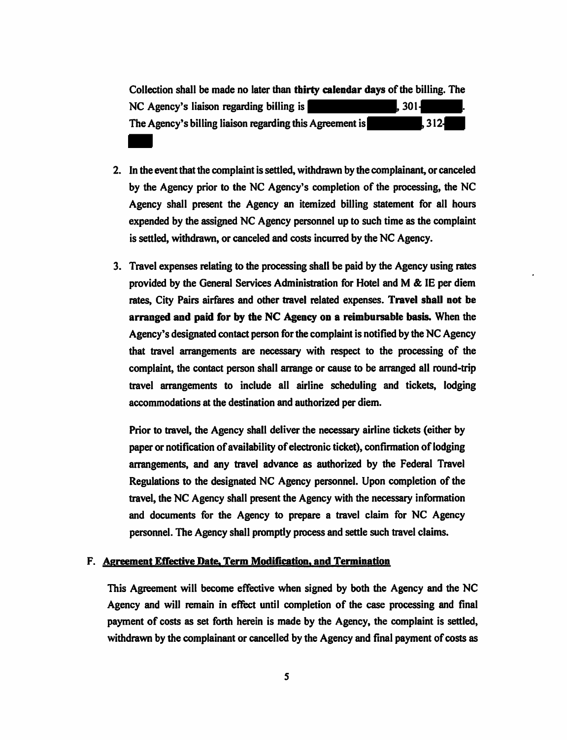Collection shall be made no later than **thirty calendar days** of the billing. The  $NC$  Agency's liaison regarding billing is  $\sim$  . 301. The Agency's billing liaison regarding this Agreement is **the Agency's** 312-

- 2. In the event that the complaint is settled, withdrawn by the complainant, or canceled by the Agency prior to the NC Agency's completion of the processing, the NC Agency shall present the Agency an itemized billing statement for all hours expended by the assigned NC Agency personnel up to such time as the complaint is settled, withdrawn, or canceled and costs incurred by the NC Agency.
- 3. Travel expenses relating to the processing shall be paid by the Agency using rates provided by the General Services Administration for Hotel and M & IE per diem rates, City Pairs airfares and other travel related expenses. **Travel shall not be arranged and paid for by the NC Agency on a reimbursable basis.** When the Agency's designated contact person for the complaint is notified by the NC Agency that travel arrangements are necessary with respect to the processing of the complaint, the contact person shall arrange or cause to be arranged all round-trip travel arrangements to include all airline scheduling and tickets, lodging accommodations at the destination and authorized per diem.

Prior to travel, the Agency shall deliver the necessary airline tickets (either by paper or notification of availability of electronic ticket), confirmation of lodging arrangements, and any travel advance as authorized by the Federal Travel Regulations to the designated NC Agency personnel. Upon completion of the travel, the NC Agency shall present the Agency with the necessary information and documents for the Agency to prepare a travel claim for NC Agency personnel. The Agency shall promptly process and settle such travel claims.

#### F. **Agreement Effective Date. Term Modification, and Termination**

This Agreement will become effective when signed by both the Agency and the NC Agency and will remain in effect until completion of the case processing and final payment of costs as set forth herein is made by the Agency, the complaint is settled, withdrawn by the complainant or cancelled by the Agency and final payment of costs as